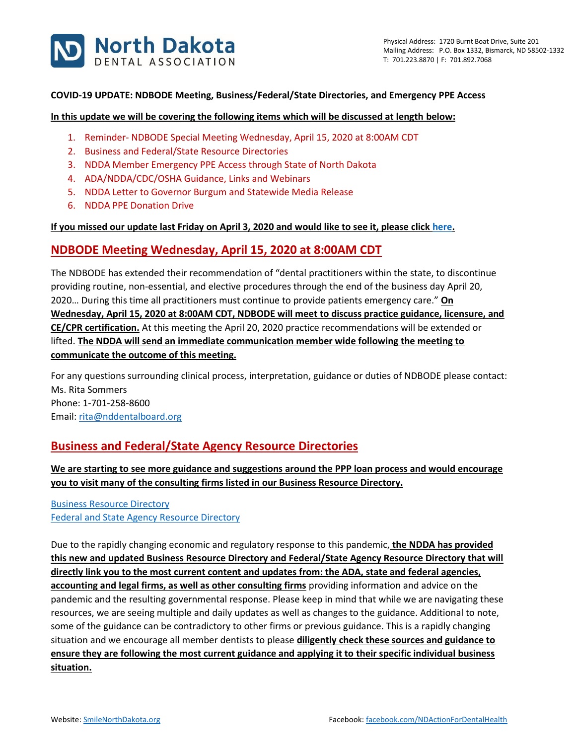

### **COVID-19 UPDATE: NDBODE Meeting, Business/Federal/State Directories, and Emergency PPE Access**

#### **In this update we will be covering the following items which will be discussed at length below:**

- 1. Reminder- NDBODE Special Meeting Wednesday, April 15, 2020 at 8:00AM CDT
- 2. Business and Federal/State Resource Directories
- 3. NDDA Member Emergency PPE Access through State of North Dakota
- 4. ADA/NDDA/CDC/OSHA Guidance, Links and Webinars
- 5. NDDA Letter to Governor Burgum and Statewide Media Release
- 6. NDDA PPE Donation Drive

### **If you missed our update last Friday on April 3, 2020 and would like to see it, please clic[k here.](https://www.smilenorthdakota.org/docs/librariesprovider39/shared-library-north-dakota/covid-19-april-3-2020-update.pdf?sfvrsn=2)**

## **NDBODE Meeting Wednesday, April 15, 2020 at 8:00AM CDT**

The NDBODE has extended their recommendation of "dental practitioners within the state, to discontinue providing routine, non-essential, and elective procedures through the end of the business day April 20, 2020… During this time all practitioners must continue to provide patients emergency care." **On Wednesday, April 15, 2020 at 8:00AM CDT, NDBODE will meet to discuss practice guidance, licensure, and CE/CPR certification.** At this meeting the April 20, 2020 practice recommendations will be extended or lifted. **The NDDA will send an immediate communication member wide following the meeting to communicate the outcome of this meeting.**

For any questions surrounding clinical process, interpretation, guidance or duties of NDBODE please contact: Ms. Rita Sommers Phone: 1-701-258-8600 Email: [rita@nddentalboard.org](mailto:rita@nddentalboard.org)

## **Business and Federal/State Agency Resource Directories**

**We are starting to see more guidance and suggestions around the PPP loan process and would encourage you to visit many of the consulting firms listed in our Business Resource Directory.**

[Business Resource Directory](https://www.smilenorthdakota.org/docs/librariesprovider39/default-document-library/business-covid-19-resource-directory1.pdf?sfvrsn=2) [Federal and State Agency Resource Directory](https://www.smilenorthdakota.org/docs/librariesprovider39/default-document-library/federal-amp-state-covid-19-resource-directory.pdf?sfvrsn=2)

Due to the rapidly changing economic and regulatory response to this pandemic, **the NDDA has provided this new and updated Business Resource Directory and Federal/State Agency Resource Directory that will directly link you to the most current content and updates from: the ADA, state and federal agencies, accounting and legal firms, as well as other consulting firms** providing information and advice on the pandemic and the resulting governmental response. Please keep in mind that while we are navigating these resources, we are seeing multiple and daily updates as well as changes to the guidance. Additional to note, some of the guidance can be contradictory to other firms or previous guidance. This is a rapidly changing situation and we encourage all member dentists to please **diligently check these sources and guidance to ensure they are following the most current guidance and applying it to their specific individual business situation.**